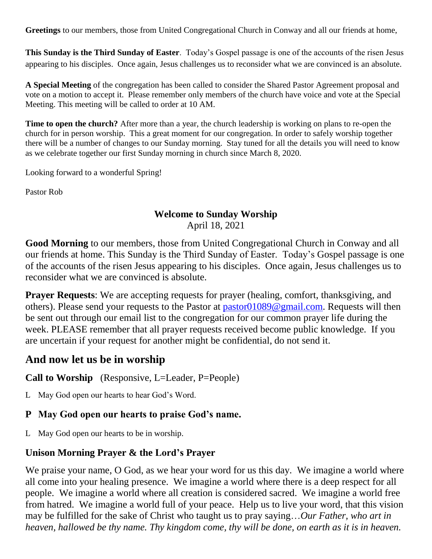**Greetings** to our members, those from United Congregational Church in Conway and all our friends at home,

**This Sunday is the Third Sunday of Easter**. Today's Gospel passage is one of the accounts of the risen Jesus appearing to his disciples. Once again, Jesus challenges us to reconsider what we are convinced is an absolute.

**A Special Meeting** of the congregation has been called to consider the Shared Pastor Agreement proposal and vote on a motion to accept it. Please remember only members of the church have voice and vote at the Special Meeting. This meeting will be called to order at 10 AM.

**Time to open the church?** After more than a year, the church leadership is working on plans to re-open the church for in person worship. This a great moment for our congregation. In order to safely worship together there will be a number of changes to our Sunday morning. Stay tuned for all the details you will need to know as we celebrate together our first Sunday morning in church since March 8, 2020.

Looking forward to a wonderful Spring!

Pastor Rob

# **Welcome to Sunday Worship**

April 18, 2021

**Good Morning** to our members, those from United Congregational Church in Conway and all our friends at home. This Sunday is the Third Sunday of Easter. Today's Gospel passage is one of the accounts of the risen Jesus appearing to his disciples. Once again, Jesus challenges us to reconsider what we are convinced is absolute.

**Prayer Requests**: We are accepting requests for prayer (healing, comfort, thanksgiving, and others). Please send your requests to the Pastor at [pastor01089@gmail.com.](mailto:pastor01089@gmail.com) Requests will then be sent out through our email list to the congregation for our common prayer life during the week. PLEASE remember that all prayer requests received become public knowledge. If you are uncertain if your request for another might be confidential, do not send it.

# **And now let us be in worship**

**Call to Worship** (Responsive, L=Leader, P=People)

L May God open our hearts to hear God's Word.

## **P May God open our hearts to praise God's name.**

L May God open our hearts to be in worship.

## **Unison Morning Prayer & the Lord's Prayer**

We praise your name, O God, as we hear your word for us this day. We imagine a world where all come into your healing presence. We imagine a world where there is a deep respect for all people. We imagine a world where all creation is considered sacred. We imagine a world free from hatred. We imagine a world full of your peace. Help us to live your word, that this vision may be fulfilled for the sake of Christ who taught us to pray saying…*Our Father, who art in heaven, hallowed be thy name. Thy kingdom come, thy will be done, on earth as it is in heaven.*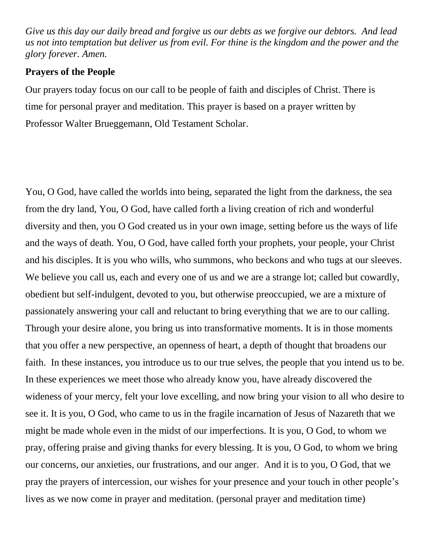*Give us this day our daily bread and forgive us our debts as we forgive our debtors. And lead us not into temptation but deliver us from evil. For thine is the kingdom and the power and the glory forever. Amen.*

### **Prayers of the People**

Our prayers today focus on our call to be people of faith and disciples of Christ. There is time for personal prayer and meditation. This prayer is based on a prayer written by Professor Walter Brueggemann, Old Testament Scholar.

You, O God, have called the worlds into being, separated the light from the darkness, the sea from the dry land, You, O God, have called forth a living creation of rich and wonderful diversity and then, you O God created us in your own image, setting before us the ways of life and the ways of death. You, O God, have called forth your prophets, your people, your Christ and his disciples. It is you who wills, who summons, who beckons and who tugs at our sleeves. We believe you call us, each and every one of us and we are a strange lot; called but cowardly, obedient but self-indulgent, devoted to you, but otherwise preoccupied, we are a mixture of passionately answering your call and reluctant to bring everything that we are to our calling. Through your desire alone, you bring us into transformative moments. It is in those moments that you offer a new perspective, an openness of heart, a depth of thought that broadens our faith. In these instances, you introduce us to our true selves, the people that you intend us to be. In these experiences we meet those who already know you, have already discovered the wideness of your mercy, felt your love excelling, and now bring your vision to all who desire to see it. It is you, O God, who came to us in the fragile incarnation of Jesus of Nazareth that we might be made whole even in the midst of our imperfections. It is you, O God, to whom we pray, offering praise and giving thanks for every blessing. It is you, O God, to whom we bring our concerns, our anxieties, our frustrations, and our anger. And it is to you, O God, that we pray the prayers of intercession, our wishes for your presence and your touch in other people's lives as we now come in prayer and meditation. (personal prayer and meditation time)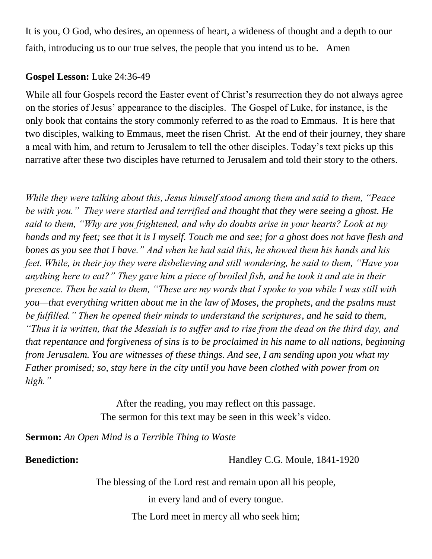It is you, O God, who desires, an openness of heart, a wideness of thought and a depth to our faith, introducing us to our true selves, the people that you intend us to be. Amen

## **Gospel Lesson:** Luke 24:36-49

While all four Gospels record the Easter event of Christ's resurrection they do not always agree on the stories of Jesus' appearance to the disciples. The Gospel of Luke, for instance, is the only book that contains the story commonly referred to as the road to Emmaus. It is here that two disciples, walking to Emmaus, meet the risen Christ. At the end of their journey, they share a meal with him, and return to Jerusalem to tell the other disciples. Today's text picks up this narrative after these two disciples have returned to Jerusalem and told their story to the others.

*While they were talking about this, Jesus himself stood among them and said to them, "Peace be with you." They were startled and terrified and thought that they were seeing a ghost. He said to them, "Why are you frightened, and why do doubts arise in your hearts? Look at my hands and my feet; see that it is I myself. Touch me and see; for a ghost does not have flesh and bones as you see that I have." And when he had said this, he showed them his hands and his feet. While, in their joy they were disbelieving and still wondering, he said to them, "Have you anything here to eat?" They gave him a piece of broiled fish, and he took it and ate in their presence. Then he said to them, "These are my words that I spoke to you while I was still with you—that everything written about me in the law of Moses, the prophets, and the psalms must be fulfilled." Then he opened their minds to understand the scriptures, and he said to them, "Thus it is written, that the Messiah is to suffer and to rise from the dead on the third day, and that repentance and forgiveness of sins is to be proclaimed in his name to all nations, beginning from Jerusalem. You are witnesses of these things. And see, I am sending upon you what my Father promised; so, stay here in the city until you have been clothed with power from on high."*

> After the reading, you may reflect on this passage. The sermon for this text may be seen in this week's video.

**Sermon:** *An Open Mind is a Terrible Thing to Waste*

**Benediction:** Handley C.G. Moule, 1841-1920

The blessing of the Lord rest and remain upon all his people,

in every land and of every tongue.

The Lord meet in mercy all who seek him;